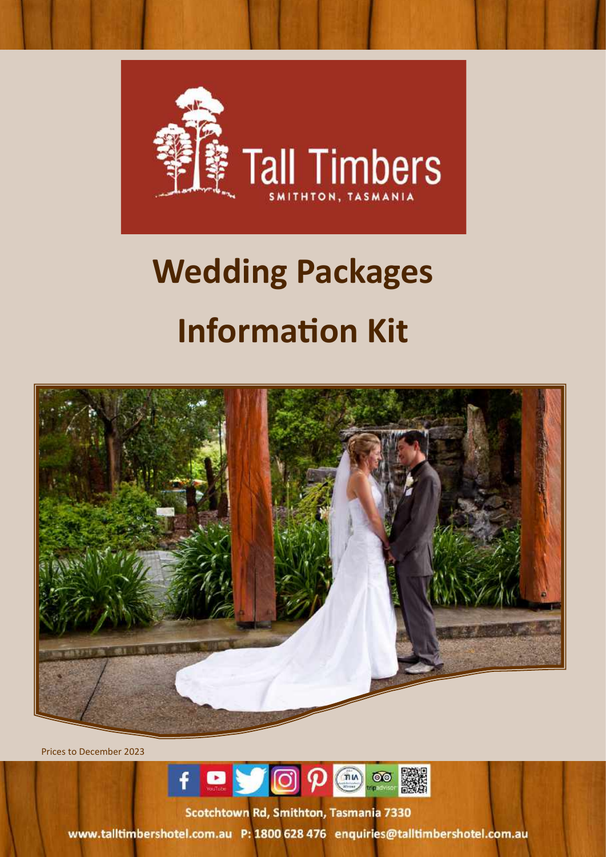

# **Wedding Packages Information Kit**



Prices to December 2023



Scotchtown Rd, Smithton, Tasmania 7330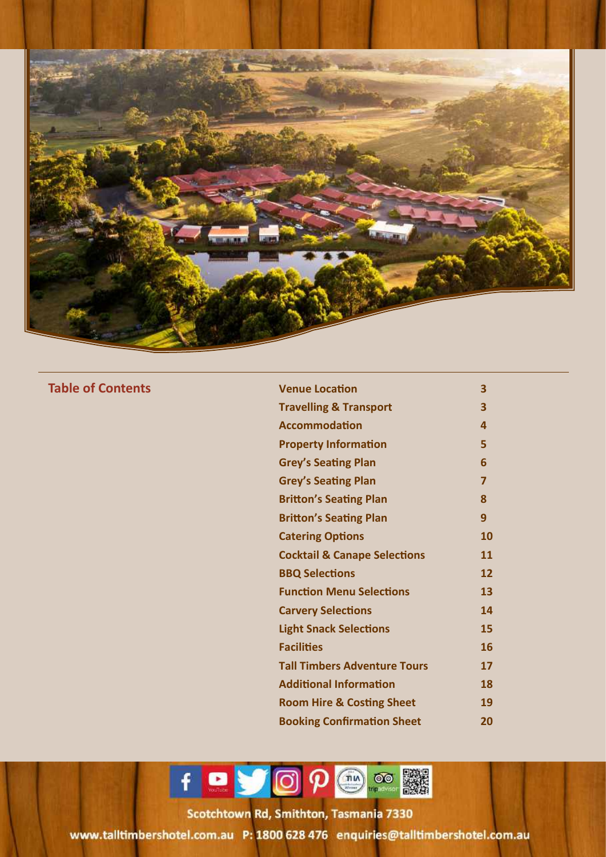

**Table of Contents** 

| <b>Venue Location</b>                   | 3  |
|-----------------------------------------|----|
| <b>Travelling &amp; Transport</b>       | 3  |
| <b>Accommodation</b>                    | 4  |
| <b>Property Information</b>             | 5  |
| <b>Grey's Seating Plan</b>              | 6  |
| <b>Grey's Seating Plan</b>              | 7  |
| <b>Britton's Seating Plan</b>           | 8  |
| <b>Britton's Seating Plan</b>           | 9  |
| <b>Catering Options</b>                 | 10 |
| <b>Cocktail &amp; Canape Selections</b> | 11 |
| <b>BBQ Selections</b>                   | 12 |
| <b>Function Menu Selections</b>         | 13 |
| <b>Carvery Selections</b>               | 14 |
| <b>Light Snack Selections</b>           | 15 |
| <b>Facilities</b>                       | 16 |
| <b>Tall Timbers Adventure Tours</b>     | 17 |
| <b>Additional Information</b>           | 18 |
| <b>Room Hire &amp; Costing Sheet</b>    | 19 |
| <b>Booking Confirmation Sheet</b>       | 20 |

f D J O P O O N

icotchtown Rd, Smithton, Tasmania, 733 Tourism Free Simerson, Foshiania 753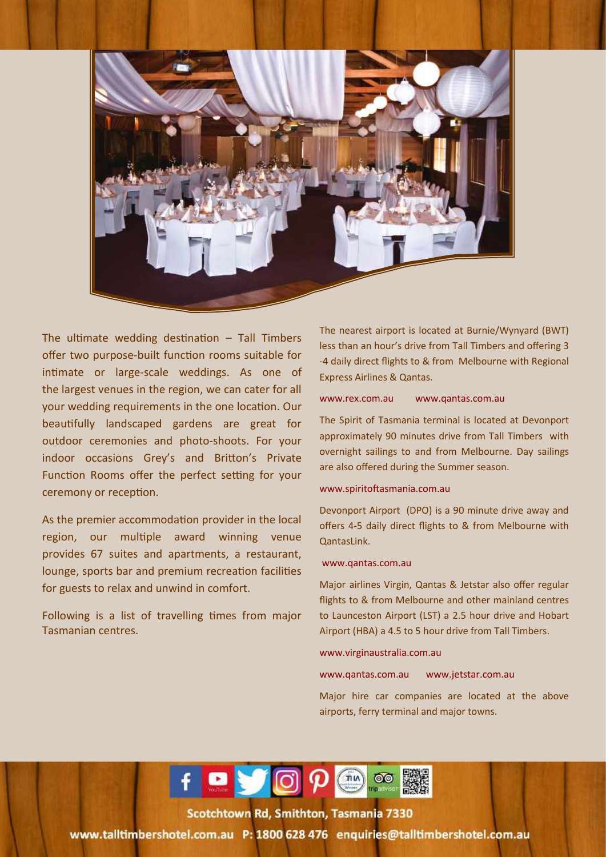

The ultimate wedding destination  $-$  Tall Timbers offer two purpose-built function rooms suitable for intimate or large-scale weddings. As one of the largest venues in the region, we can cater for all your wedding requirements in the one location. Our beautifully landscaped gardens are great for outdoor ceremonies and photo-shoots. For your indoor occasions Grey's and Britton's Private Function Rooms offer the perfect setting for your ceremony or reception.

As the premier accommodation provider in the local region, our multiple award winning venue provides 67 suites and apartments, a restaurant, lounge, sports bar and premium recreation facilities for guests to relax and unwind in comfort.

Following is a list of travelling times from major Tasmanian centres.

The nearest airport is located at Burnie/Wynyard (BWT) less than an hour's drive from Tall Timbers and offering 3 -4 daily direct flights to & from Melbourne with Regional Express Airlines & Qantas.

#### www.rex.com.au www.qantas.com.au

The Spirit of Tasmania terminal is located at Devonport approximately 90 minutes drive from Tall Timbers with overnight sailings to and from Melbourne. Day sailings are also offered during the Summer season.

#### www.spiritoftasmania.com.au

Devonport Airport (DPO) is a 90 minute drive away and offers 4-5 daily direct flights to & from Melbourne with QantasLink.

#### www.qantas.com.au

Major airlines Virgin, Qantas & Jetstar also offer regular flights to & from Melbourne and other mainland centres to Launceston Airport (LST) a 2.5 hour drive and Hobart Airport (HBA) a 4.5 to 5 hour drive from Tall Timbers.

#### www.virginaustralia.com.au

www.qantas.com.au www.jetstar.com.au

Major hire car companies are located at the above airports, ferry terminal and major towns.



icotchtown Rd, Smithton, Tasmania, 733 Tourism Free Simerson, Foshiania 753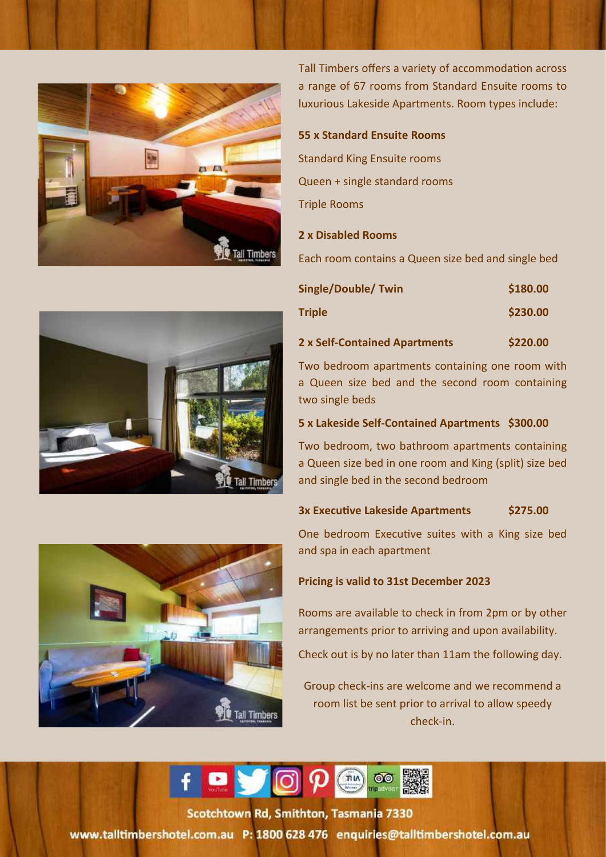

Tall Timbers offers a variety of accommodation across a range of 67 rooms from Standard Ensuite rooms to luxurious Lakeside Apartments. Room types include:

### **55 x Standard Ensuite Rooms**

Standard King Ensuite rooms Queen + single standard rooms Triple Rooms

### **2 x Disabled Rooms**

Each room contains a Queen size bed and single bed

| <b>Single/Double/Twin</b>     | \$180.00 |  |
|-------------------------------|----------|--|
| <b>Triple</b>                 | \$230.00 |  |
| 2 x Self-Contained Apartments | \$220.00 |  |

Two bedroom apartments containing one room with a Queen size bed and the second room containing two single beds

#### **5 x Lakeside Self-Contained Apartments \$300.00**

Two bedroom, two bathroom apartments containing a Queen size bed in one room and King (split) size bed and single bed in the second bedroom

### **3x Executive Lakeside Apartments \$275.00**

One bedroom Executive suites with a King size bed and spa in each apartment

### **Pricing is valid to 31st December 2023**

Rooms are available to check in from 2pm or by other arrangements prior to arriving and upon availability.

Check out is by no later than 11am the following day.

Group check-ins are welcome and we recommend a room list be sent prior to arrival to allow speedy check-in.

 $f \bullet g$  $\emptyset$  $\emptyset$  $\binom{nn}{n}$  $\circledcirc$ 

icotchtown Rd, Smithton, Tasmania, 733 Tourism Free Simerson, Foshiania 753 www.talltimbershotel.com.au P: 1800 628 476 enquiries@talltimbershotel.com.au



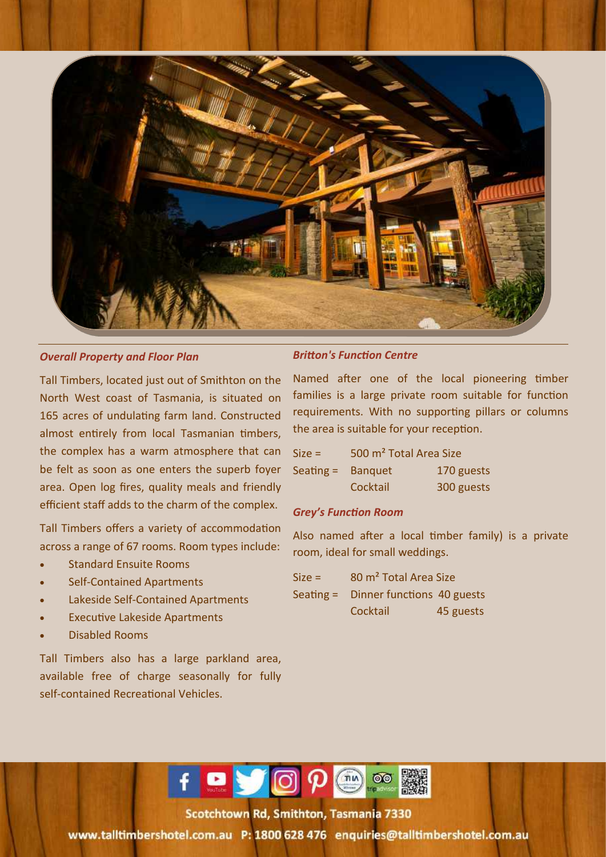

### *Overall Property and Floor Plan*

Tall Timbers, located just out of Smithton on the North West coast of Tasmania, is situated on 165 acres of undulating farm land. Constructed almost entirely from local Tasmanian timbers, the complex has a warm atmosphere that can be felt as soon as one enters the superb foyer area. Open log fires, quality meals and friendly efficient staff adds to the charm of the complex.

Tall Timbers offers a variety of accommodation across a range of 67 rooms. Room types include:

- Standard Ensuite Rooms
- Self-Contained Apartments
- Lakeside Self-Contained Apartments
- **Executive Lakeside Apartments**
- Disabled Rooms

Tall Timbers also has a large parkland area, available free of charge seasonally for fully self-contained Recreational Vehicles.

### *Britton's Function Centre*

Named after one of the local pioneering timber families is a large private room suitable for function requirements. With no supporting pillars or columns the area is suitable for your reception.

| $Size =$    | 500 m <sup>2</sup> Total Area Size |            |
|-------------|------------------------------------|------------|
| Seating $=$ | <b>Banquet</b>                     | 170 guests |
|             | Cocktail                           | 300 guests |

### *Grey's Function Room*

Also named after a local timber family) is a private room, ideal for small weddings.

| $Size =$ | 80 m <sup>2</sup> Total Area Size    |           |
|----------|--------------------------------------|-----------|
|          | Seating = Dinner functions 40 guests |           |
|          | Cocktail                             | 45 guests |



5-15 Scotchtown Road Smithton 7330, Tasmania, Australia Toll Free in Free Statement Controlling to the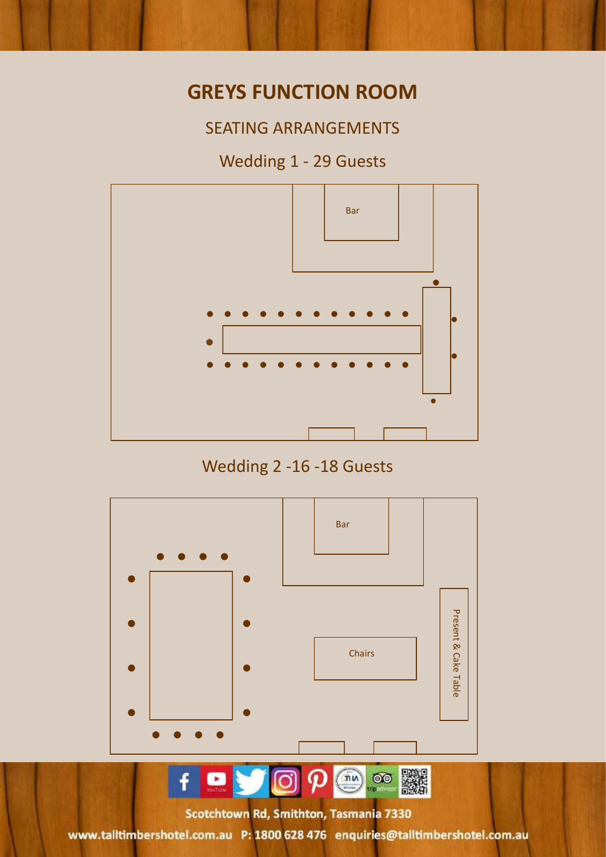### **GREYS FUNCTION ROOM**

SEATING ARRANGEMENTS

### Wedding 1 - 29 Guests



Wedding 2 -16 -18 Guests

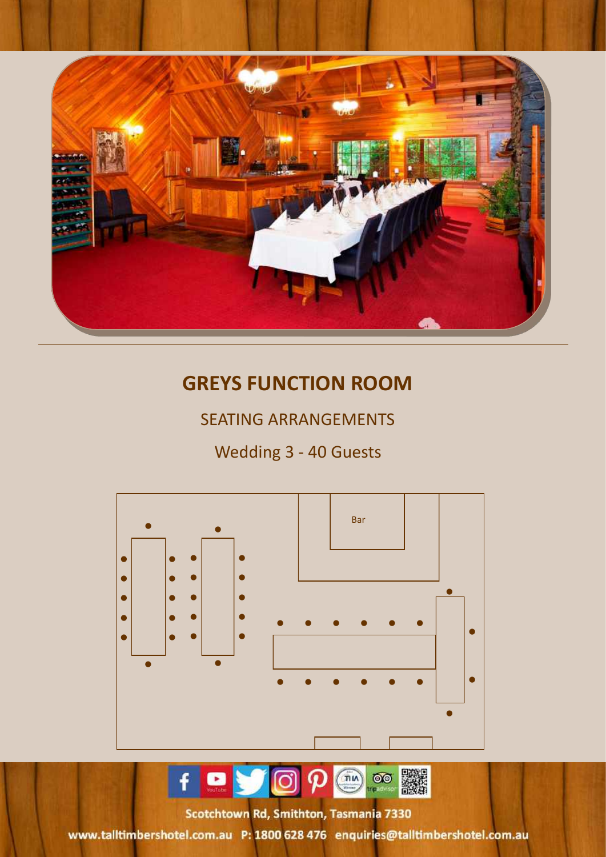

## **GREYS FUNCTION ROOM**

### SEATING ARRANGEMENTS

### Wedding 3 - 40 Guests



5-15 Scotchtown Road Smithton 7330, Tasmania, Australia

Toll Free in Free Statement Controlling to the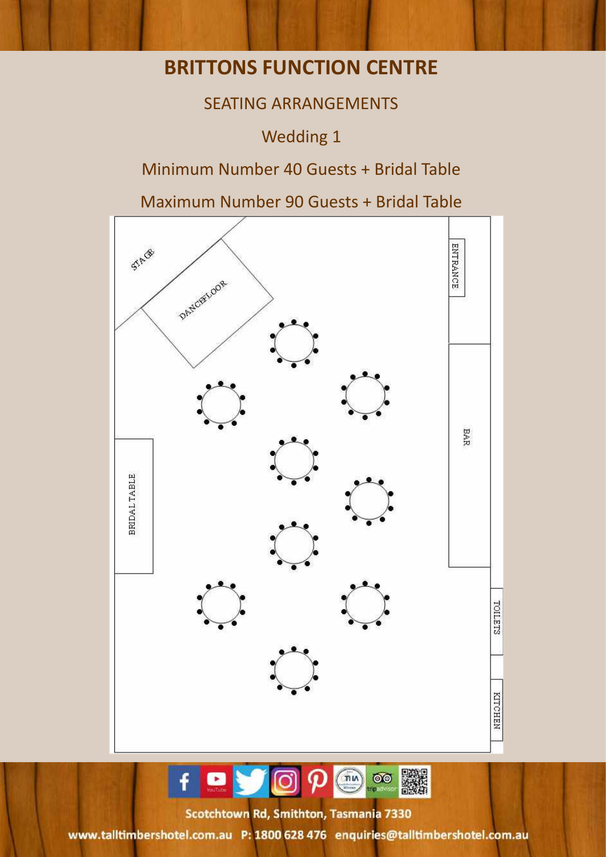### **BRITTONS FUNCTION CENTRE**

### SEATING ARRANGEMENTS

Wedding 1

### Minimum Number 40 Guests + Bridal Table

Maximum Number 90 Guests + Bridal Table





5-15 Scotchtown Road Smithton 7330, Tasmania, Australia Toll Free in Free Statement Controlling to the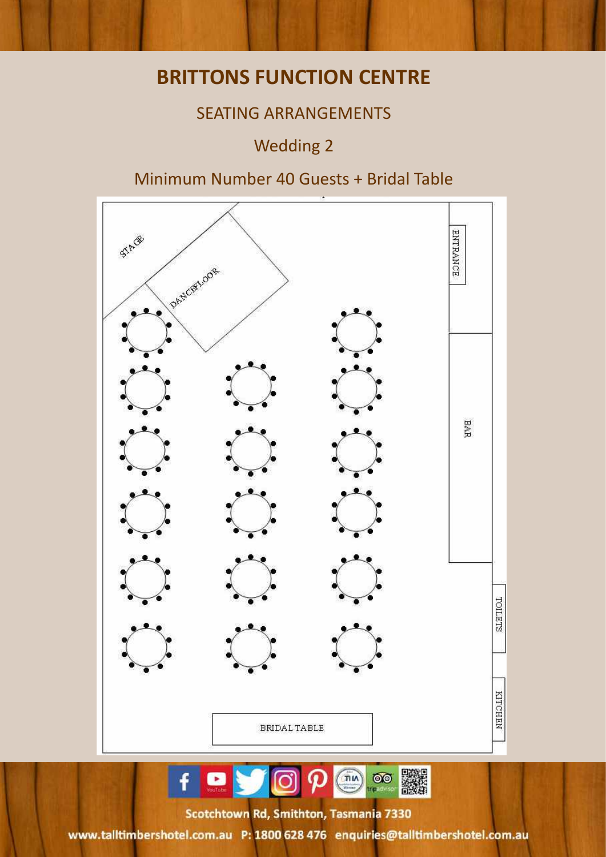### **BRITTONS FUNCTION CENTRE**

### SEATING ARRANGEMENTS

### Wedding 2

### Minimum Number 40 Guests + Bridal Table



**BAR**  $\overline{\text{OO}}$  $\overline{\mathfrak{m}}$ 

5-15 Scotchtown Road Smithton 7330, Tasmania, Australia Toll Free in Free Statement Controlling to the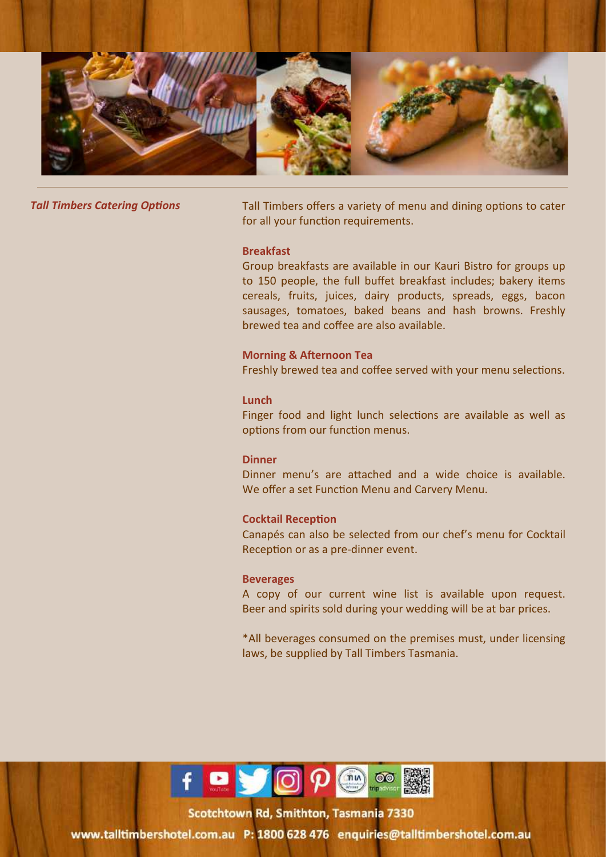

**Tall Timbers Catering Options** Tall Timbers offers a variety of menu and dining options to cater for all your function requirements.

### **Breakfast**

Group breakfasts are available in our Kauri Bistro for groups up to 150 people, the full buffet breakfast includes; bakery items cereals, fruits, juices, dairy products, spreads, eggs, bacon sausages, tomatoes, baked beans and hash browns. Freshly brewed tea and coffee are also available.

### **Morning & Afternoon Tea**

Freshly brewed tea and coffee served with your menu selections.

### **Lunch**

Finger food and light lunch selections are available as well as options from our function menus.

### **Dinner**

Dinner menu's are attached and a wide choice is available. We offer a set Function Menu and Carvery Menu.

### **Cocktail Reception**

Canapés can also be selected from our chef's menu for Cocktail Reception or as a pre-dinner event.

### **Beverages**

A copy of our current wine list is available upon request. Beer and spirits sold during your wedding will be at bar prices.

\*All beverages consumed on the premises must, under licensing laws, be supplied by Tall Timbers Tasmania.



Grotchtown Rd, Smithton, Tasmania, 733 Toll Free Structure : 180000 43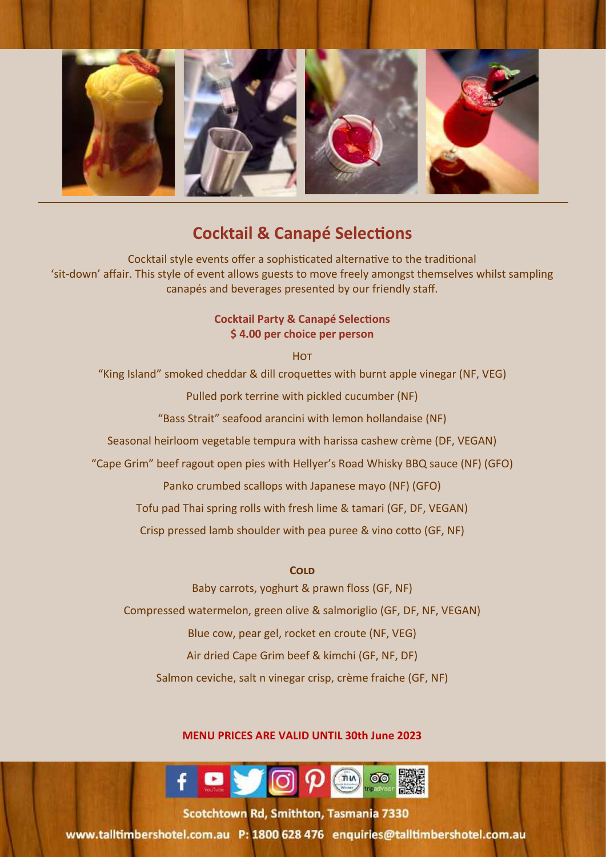

### **Cocktail & Canapé Selections**

Cocktail style events offer a sophisticated alternative to the traditional 'sit-down' affair. This style of event allows guests to move freely amongst themselves whilst sampling canapés and beverages presented by our friendly staff.

### **Cocktail Party & Canapé Selections \$ 4.00 per choice per person**

**HOT** "King Island" smoked cheddar & dill croquettes with burnt apple vinegar (NF, VEG) Pulled pork terrine with pickled cucumber (NF) "Bass Strait" seafood arancini with lemon hollandaise (NF) Seasonal heirloom vegetable tempura with harissa cashew crème (DF, VEGAN) "Cape Grim" beef ragout open pies with Hellyer's Road Whisky BBQ sauce (NF) (GFO) Panko crumbed scallops with Japanese mayo (NF) (GFO) Tofu pad Thai spring rolls with fresh lime & tamari (GF, DF, VEGAN) Crisp pressed lamb shoulder with pea puree & vino cotto (GF, NF)

### **Cold**

Baby carrots, yoghurt & prawn floss (GF, NF) Compressed watermelon, green olive & salmoriglio (GF, DF, NF, VEGAN) Blue cow, pear gel, rocket en croute (NF, VEG) Air dried Cape Grim beef & kimchi (GF, NF, DF) Salmon ceviche, salt n vinegar crisp, crème fraiche (GF, NF)

### **MENU PRICES ARE VALID UNTIL 30th June 2023**



tatchtown Rd, Smithton, Tasmania, 7330 Tours Free: 1800 628 476 Telephone: + 63 (03) 6452 9000

www.talltimbershotel.com.au P: 1800 628 476 enquiries@talltimbershotel.com.au

11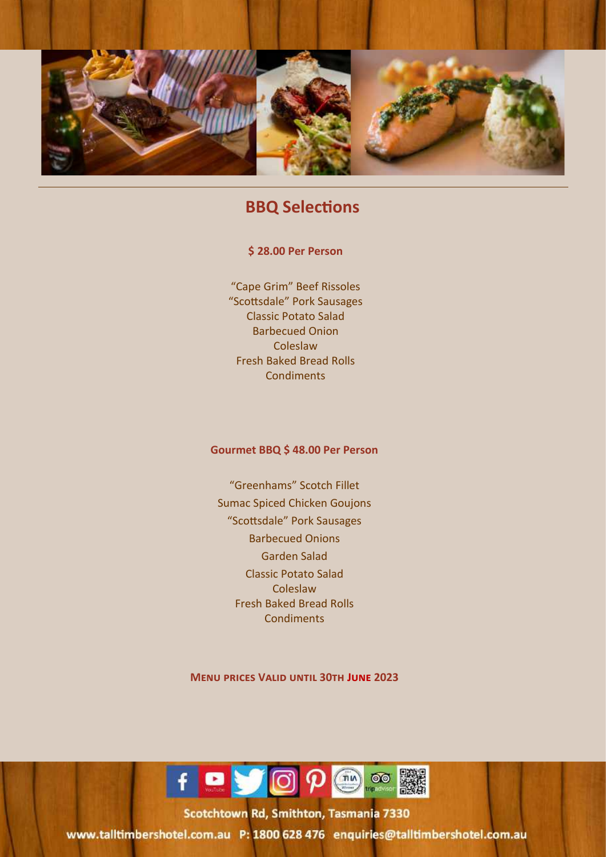

### **BBQ Selections**

### **\$ 28.00 Per Person**

"Cape Grim" Beef Rissoles "Scottsdale" Pork Sausages Classic Potato Salad Barbecued Onion Coleslaw Fresh Baked Bread Rolls **Condiments** 

### **Gourmet BBQ \$ 48.00 Per Person**

"Greenhams" Scotch Fillet Sumac Spiced Chicken Goujons "Scottsdale" Pork Sausages Barbecued Onions Garden Salad Classic Potato Salad Coleslaw Fresh Baked Bread Rolls **Condiments** 

**Menu prices Valid until 30th June 2023**



cotchtown Rd, Smithton, Tasmania, 7331  $T$ 

12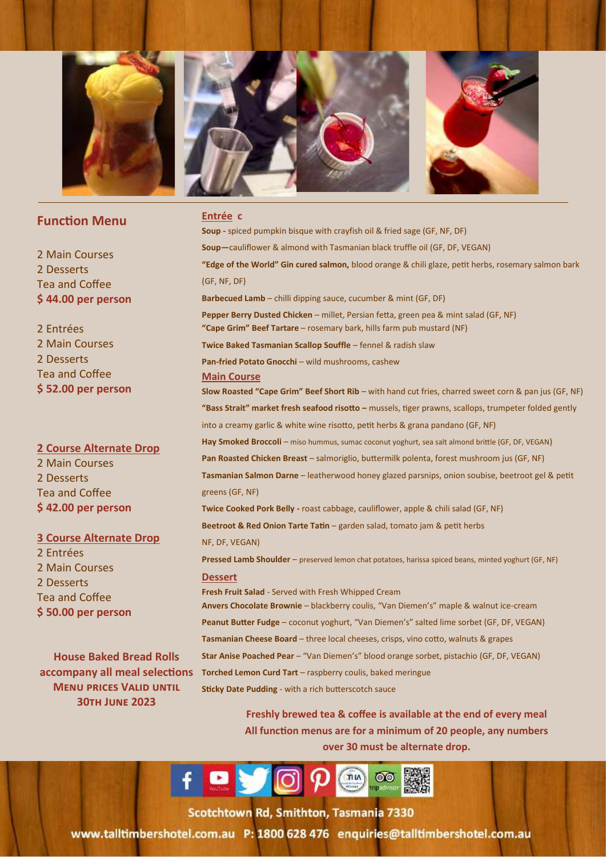

### **Function Menu**

2 Main Courses 2 Desserts Tea and Coffee **\$ 44.00 per person** 

2 Entrées 2 Main Courses 2 Desserts Tea and Coffee **\$ 52.00 per person**

**2 Course Alternate Drop**  2 Main Courses 2 Desserts Tea and Coffee **\$ 42.00 per person**

### **3 Course Alternate Drop**

2 Entrées 2 Main Courses 2 Desserts Tea and Coffee **\$ 50.00 per person** 

**House Baked Bread Rolls Menu prices Valid until 30th June 2023**

#### **Entrée c**

**accompany all meal selections Torched Lemon Curd Tart** – raspberry coulis, baked meringue **Soup -** spiced pumpkin bisque with crayfish oil & fried sage (GF, NF, DF) **Soup—**cauliflower & almond with Tasmanian black truffle oil (GF, DF, VEGAN) **"Edge of the World" Gin cured salmon,** blood orange & chili glaze, petit herbs, rosemary salmon bark (GF, NF, DF) **Barbecued Lamb** – chilli dipping sauce, cucumber & mint (GF, DF) **Pepper Berry Dusted Chicken** – millet, Persian fetta, green pea & mint salad (GF, NF) **"Cape Grim" Beef Tartare** – rosemary bark, hills farm pub mustard (NF) **Twice Baked Tasmanian Scallop Souffle** – fennel & radish slaw **Pan-fried Potato Gnocchi** – wild mushrooms, cashew **Main Course Slow Roasted "Cape Grim" Beef Short Rib** – with hand cut fries, charred sweet corn & pan jus (GF, NF) **"Bass Strait" market fresh seafood risotto –** mussels, tiger prawns, scallops, trumpeter folded gently into a creamy garlic & white wine risotto, petit herbs & grana pandano (GF, NF) Hay Smoked Broccoli - miso hummus, sumac coconut yoghurt, sea salt almond brittle (GF, DF, VEGAN) Pan Roasted Chicken Breast - salmoriglio, buttermilk polenta, forest mushroom jus (GF, NF) **Tasmanian Salmon Darne** – leatherwood honey glazed parsnips, onion soubise, beetroot gel & petit greens (GF, NF) **Twice Cooked Pork Belly -** roast cabbage, cauliflower, apple & chili salad (GF, NF) **Beetroot & Red Onion Tarte Tatin** – garden salad, tomato jam & petit herbs NF, DF, VEGAN) **Pressed Lamb Shoulder** – preserved lemon chat potatoes, harissa spiced beans, minted yoghurt (GF, NF) **Dessert Fresh Fruit Salad** - Served with Fresh Whipped Cream **Anvers Chocolate Brownie** – blackberry coulis, "Van Diemen's" maple & walnut ice-cream **Peanut Butter Fudge** – coconut yoghurt, "Van Diemen's" salted lime sorbet (GF, DF, VEGAN) **Tasmanian Cheese Board** – three local cheeses, crisps, vino cotto, walnuts & grapes **Star Anise Poached Pear** – "Van Diemen's" blood orange sorbet, pistachio (GF, DF, VEGAN) **Sticky Date Pudding** - with a rich butterscotch sauce

> **Freshly brewed tea & coffee is available at the end of every meal All function menus are for a minimum of 20 people, any numbers over 30 must be alternate drop.**

 $f = \sqrt{0}$ 

Scotchtown Rd. Smithton, Tasmania 733 Toll Free: 1800 628 476 Telephone: + 63 (03) 645 (03) 645 (03) 645 (03) 645 (03) 645 (03) 645 (03) 6452 90000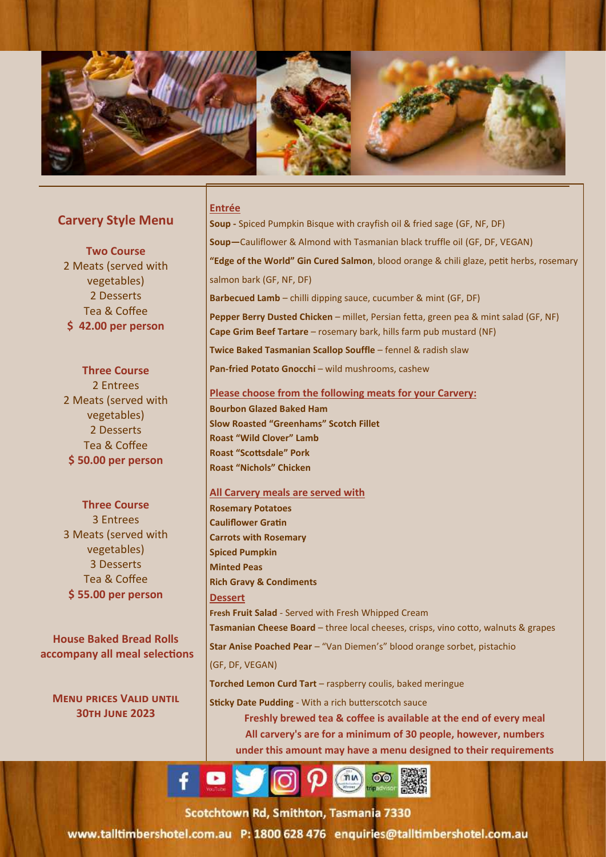

### **Carvery Style Menu**

**Two Course** 2 Meats (served with vegetables) 2 Desserts Tea & Coffee **\$ 42.00 per person**

**Three Course** 2 Entrees 2 Meats (served with vegetables) 2 Desserts Tea & Coffee **\$ 50.00 per person**

### **Three Course** 3 Entrees

3 Meats (served with vegetables) 3 Desserts Tea & Coffee **\$ 55.00 per person**

**House Baked Bread Rolls accompany all meal selections**

**Menu prices Valid until 30th June 2023**

#### **Entrée**

**Soup -** Spiced Pumpkin Bisque with crayfish oil & fried sage (GF, NF, DF) **Soup—**Cauliflower & Almond with Tasmanian black truffle oil (GF, DF, VEGAN) **"Edge of the World" Gin Cured Salmon**, blood orange & chili glaze, petit herbs, rosemary salmon bark (GF, NF, DF) **Barbecued Lamb** – chilli dipping sauce, cucumber & mint (GF, DF) **Pepper Berry Dusted Chicken** – millet, Persian fetta, green pea & mint salad (GF, NF) **Cape Grim Beef Tartare** – rosemary bark, hills farm pub mustard (NF) **Twice Baked Tasmanian Scallop Souffle** – fennel & radish slaw **Pan-fried Potato Gnocchi** – wild mushrooms, cashew

#### **Please choose from the following meats for your Carvery:**

**Bourbon Glazed Baked Ham Slow Roasted "Greenhams" Scotch Fillet Roast "Wild Clover" Lamb Roast "Scottsdale" Pork Roast "Nichols" Chicken** 

### **All Carvery meals are served with**

**Rosemary Potatoes Cauliflower Gratin Carrots with Rosemary Spiced Pumpkin Minted Peas Rich Gravy & Condiments Dessert Fresh Fruit Salad** - Served with Fresh Whipped Cream Tasmanian Cheese Board - three local cheeses, crisps, vino cotto, walnuts & grapes **Star Anise Poached Pear** – "Van Diemen's" blood orange sorbet, pistachio (GF, DF, VEGAN) **Torched Lemon Curd Tart** – raspberry coulis, baked meringue

**Sticky Date Pudding** - With a rich butterscotch sauce

**Freshly brewed tea & coffee is available at the end of every meal All carvery's are for a minimum of 30 people, however, numbers under this amount may have a menu designed to their requirements**



cotchtown Rd, Smithton, Tasmania, 733 To the extension of the extension of the extension of the state of the extension of the state of the state of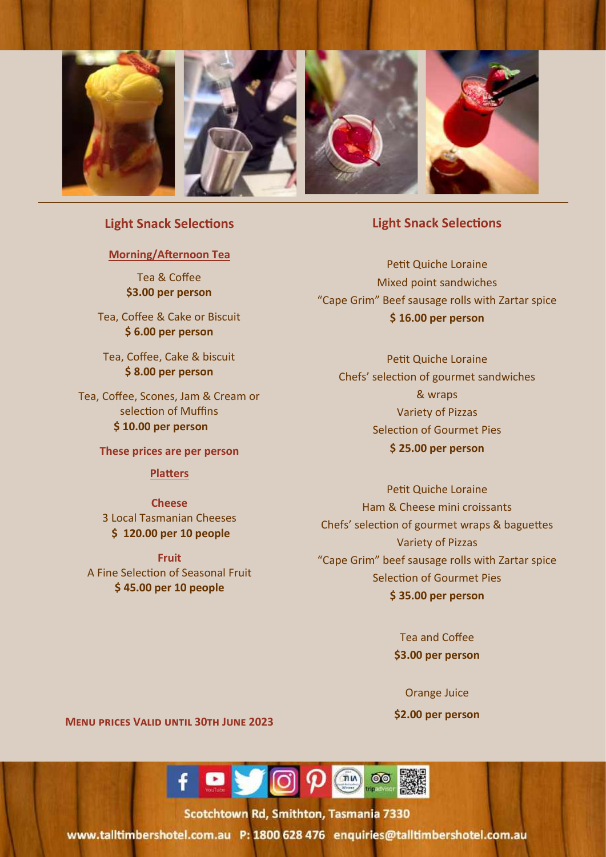

### **Light Snack Selections**

### **Morning/Afternoon Tea**

Tea & Coffee **\$3.00 per person**

Tea, Coffee & Cake or Biscuit **\$ 6.00 per person**

Tea, Coffee, Cake & biscuit **\$ 8.00 per person**

Tea, Coffee, Scones, Jam & Cream or selection of Muffins **\$ 10.00 per person**

**These prices are per person**

#### **Platters**

**Cheese**  3 Local Tasmanian Cheeses **\$ 120.00 per 10 people** 

**Fruit** A Fine Selection of Seasonal Fruit **\$ 45.00 per 10 people** 

### **Light Snack Selections**

Petit Quiche Loraine Mixed point sandwiches "Cape Grim" Beef sausage rolls with Zartar spice **\$ 16.00 per person**

Petit Quiche Loraine Chefs' selection of gourmet sandwiches & wraps Variety of Pizzas Selection of Gourmet Pies **\$ 25.00 per person**

Petit Quiche Loraine Ham & Cheese mini croissants Chefs' selection of gourmet wraps & baguettes Variety of Pizzas "Cape Grim" beef sausage rolls with Zartar spice Selection of Gourmet Pies **\$ 35.00 per person**

> Tea and Coffee **\$3.00 per person**

> > Orange Juice

**\$2.00 per person**

15

**Menu prices Valid until 30th June 2023**



cotchtown Rd, Smithton, Tasmania, 7331 Toll Free: 1800 628 476 Telephone: + 63 (03) 645 (03) 645 (03) 6452 9000 6452 90000 6452 90000 6452 90000 6452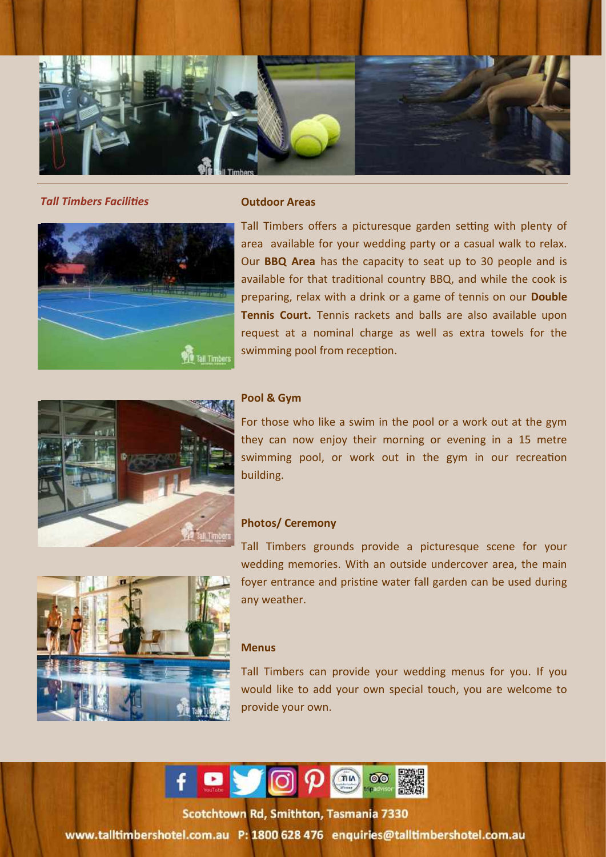

*Tall Timbers Facilities* **Outdoor Areas**



Tall Timbers offers a picturesque garden setting with plenty of area available for your wedding party or a casual walk to relax. Our **BBQ Area** has the capacity to seat up to 30 people and is available for that traditional country BBQ, and while the cook is preparing, relax with a drink or a game of tennis on our **Double Tennis Court.** Tennis rackets and balls are also available upon request at a nominal charge as well as extra towels for the swimming pool from reception.



### **Pool & Gym**

For those who like a swim in the pool or a work out at the gym they can now enjoy their morning or evening in a 15 metre swimming pool, or work out in the gym in our recreation building.

### **Photos/ Ceremony**



### **Menus**

Tall Timbers can provide your wedding menus for you. If you would like to add your own special touch, you are welcome to provide your own.

16



5-15 Scotchtown Road Smithton 7330, Tasmania, Australia Toll Free Stephens and the extensive state of the state of the state of the state of the state of the state of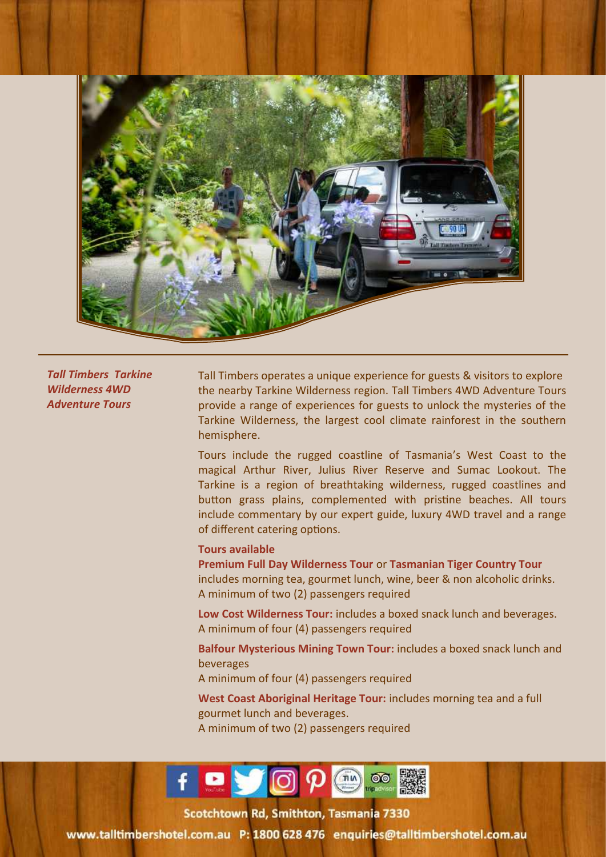

*Tall Timbers Tarkine Wilderness 4WD Adventure Tours*

Tall Timbers operates a unique experience for guests & visitors to explore the nearby Tarkine Wilderness region. Tall Timbers 4WD Adventure Tours provide a range of experiences for guests to unlock the mysteries of the Tarkine Wilderness, the largest cool climate rainforest in the southern hemisphere.

Tours include the rugged coastline of Tasmania's West Coast to the magical Arthur River, Julius River Reserve and Sumac Lookout. The Tarkine is a region of breathtaking wilderness, rugged coastlines and button grass plains, complemented with pristine beaches. All tours include commentary by our expert guide, luxury 4WD travel and a range of different catering options.

#### **Tours available**

**Premium Full Day Wilderness Tour** or **Tasmanian Tiger Country Tour**  includes morning tea, gourmet lunch, wine, beer & non alcoholic drinks. A minimum of two (2) passengers required

**Low Cost Wilderness Tour:** includes a boxed snack lunch and beverages. A minimum of four (4) passengers required

**Balfour Mysterious Mining Town Tour:** includes a boxed snack lunch and beverages

A minimum of four (4) passengers required

**West Coast Aboriginal Heritage Tour:** includes morning tea and a full gourmet lunch and beverages. A minimum of two (2) passengers required

17



rotchtown Rd, Smithton, Tasmania, 7330  $T$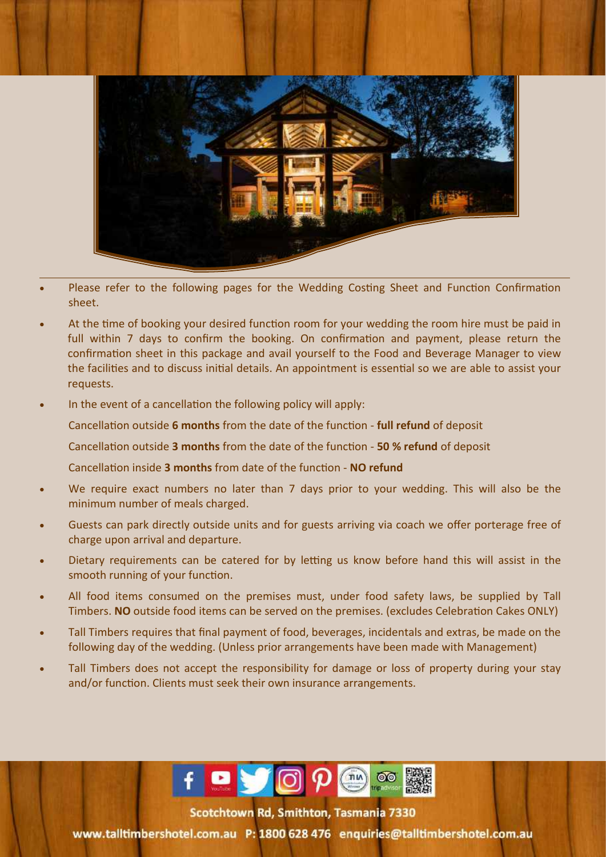

- Please refer to the following pages for the Wedding Costing Sheet and Function Confirmation sheet.
- At the time of booking your desired function room for your wedding the room hire must be paid in full within 7 days to confirm the booking. On confirmation and payment, please return the confirmation sheet in this package and avail yourself to the Food and Beverage Manager to view the facilities and to discuss initial details. An appointment is essential so we are able to assist your requests.
- In the event of a cancellation the following policy will apply:
	- Cancellation outside **6 months** from the date of the function **full refund** of deposit
	- Cancellation outside **3 months** from the date of the function **50 % refund** of deposit
	- Cancellation inside **3 months** from date of the function **NO refund**
- We require exact numbers no later than 7 days prior to your wedding. This will also be the minimum number of meals charged.
- Guests can park directly outside units and for guests arriving via coach we offer porterage free of charge upon arrival and departure.
- Dietary requirements can be catered for by letting us know before hand this will assist in the smooth running of your function.
- All food items consumed on the premises must, under food safety laws, be supplied by Tall Timbers. **NO** outside food items can be served on the premises. (excludes Celebration Cakes ONLY)
- Tall Timbers requires that final payment of food, beverages, incidentals and extras, be made on the following day of the wedding. (Unless prior arrangements have been made with Management)
- Tall Timbers does not accept the responsibility for damage or loss of property during your stay and/or function. Clients must seek their own insurance arrangements.



Scotchtown Rd, Smithton, Tasmania 7330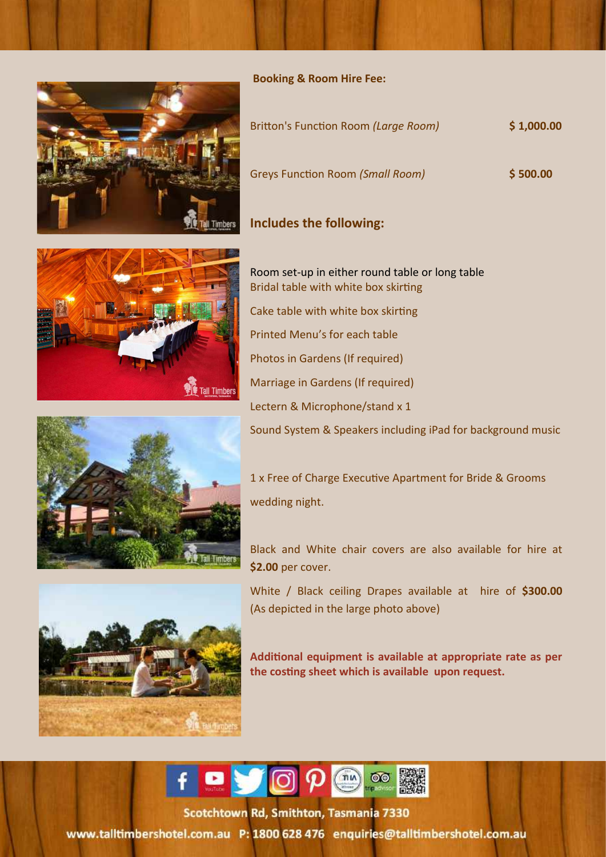

| Britton's Function Room (Large Room)    | \$1,000.00 |
|-----------------------------------------|------------|
| <b>Greys Function Room (Small Room)</b> | \$500.00   |

### **Includes the following:**





Black and White chair covers are also available for hire at **\$2.00** per cover.

White / Black ceiling Drapes available at hire of **\$300.00**  (As depicted in the large photo above)

**Additional equipment is available at appropriate rate as per the costing sheet which is available upon request.**



rotchtown Rd. Smithton, Tasmania, 7330 Toll Free: 1800 628 476 Telephone: + 63 (03) 6452 9000

www.talltimbershotel.com.au P: 1800 628 476 enquiries@talltimbershotel.com.au









19